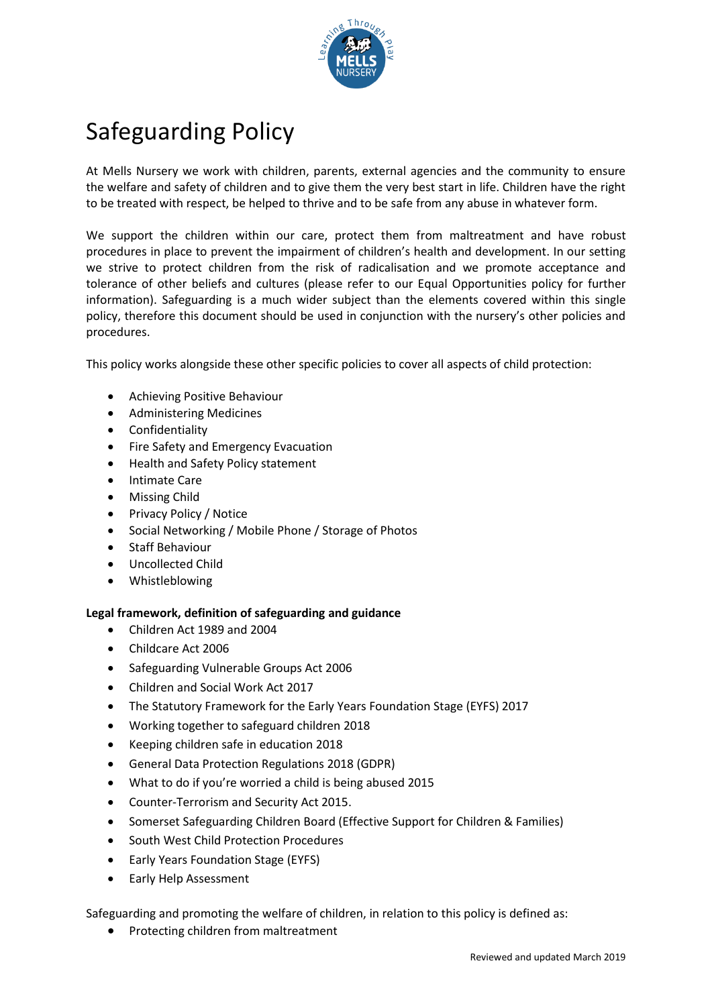

# Safeguarding Policy

At Mells Nursery we work with children, parents, external agencies and the community to ensure the welfare and safety of children and to give them the very best start in life. Children have the right to be treated with respect, be helped to thrive and to be safe from any abuse in whatever form.

We support the children within our care, protect them from maltreatment and have robust procedures in place to prevent the impairment of children's health and development. In our setting we strive to protect children from the risk of radicalisation and we promote acceptance and tolerance of other beliefs and cultures (please refer to our Equal Opportunities policy for further information). Safeguarding is a much wider subject than the elements covered within this single policy, therefore this document should be used in conjunction with the nursery's other policies and procedures.

This policy works alongside these other specific policies to cover all aspects of child protection:

- Achieving Positive Behaviour
- Administering Medicines
- Confidentiality
- Fire Safety and Emergency Evacuation
- Health and Safety Policy statement
- Intimate Care
- Missing Child
- Privacy Policy / Notice
- Social Networking / Mobile Phone / Storage of Photos
- Staff Behaviour
- Uncollected Child
- Whistleblowing

# **Legal framework, definition of safeguarding and guidance**

- Children Act 1989 and 2004
- Childcare Act 2006
- Safeguarding Vulnerable Groups Act 2006
- Children and Social Work Act 2017
- The Statutory Framework for the Early Years Foundation Stage (EYFS) 2017
- Working together to safeguard children 2018
- Keeping children safe in education 2018
- General Data Protection Regulations 2018 (GDPR)
- What to do if you're worried a child is being abused 2015
- Counter-Terrorism and Security Act 2015.
- Somerset Safeguarding Children Board (Effective Support for Children & Families)
- South West Child Protection Procedures
- Early Years Foundation Stage (EYFS)
- Early Help Assessment

Safeguarding and promoting the welfare of children, in relation to this policy is defined as:

• Protecting children from maltreatment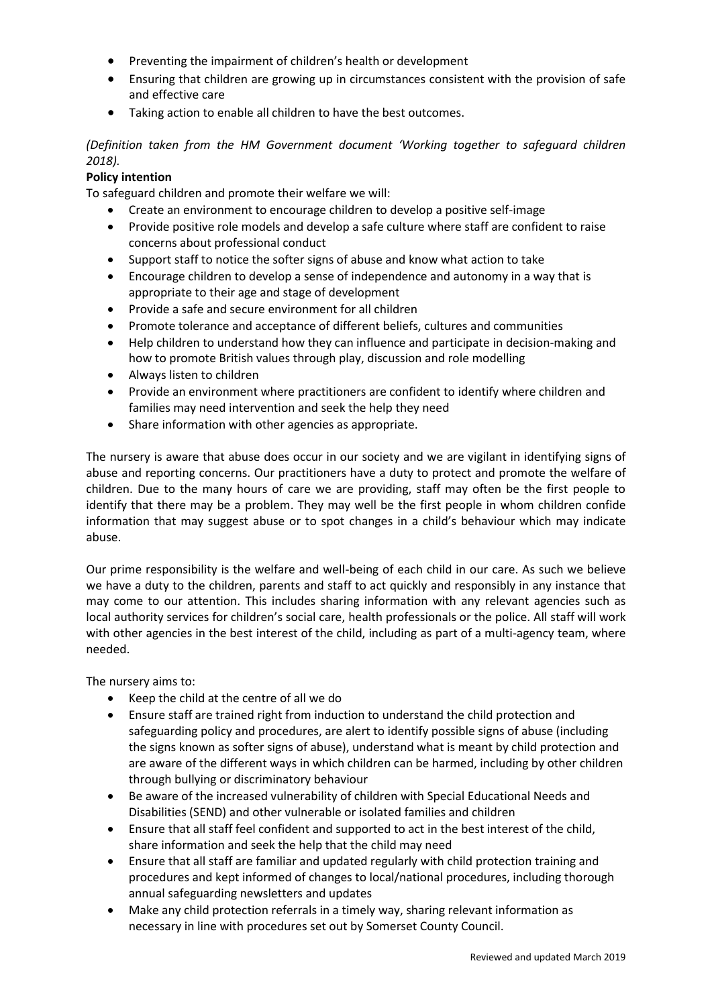- Preventing the impairment of children's health or development
- Ensuring that children are growing up in circumstances consistent with the provision of safe and effective care
- Taking action to enable all children to have the best outcomes.

*(Definition taken from the HM Government document 'Working together to safeguard children 2018).*

# **Policy intention**

To safeguard children and promote their welfare we will:

- Create an environment to encourage children to develop a positive self-image
- Provide positive role models and develop a safe culture where staff are confident to raise concerns about professional conduct
- Support staff to notice the softer signs of abuse and know what action to take
- Encourage children to develop a sense of independence and autonomy in a way that is appropriate to their age and stage of development
- Provide a safe and secure environment for all children
- Promote tolerance and acceptance of different beliefs, cultures and communities
- Help children to understand how they can influence and participate in decision-making and how to promote British values through play, discussion and role modelling
- Always listen to children
- Provide an environment where practitioners are confident to identify where children and families may need intervention and seek the help they need
- Share information with other agencies as appropriate.

The nursery is aware that abuse does occur in our society and we are vigilant in identifying signs of abuse and reporting concerns. Our practitioners have a duty to protect and promote the welfare of children. Due to the many hours of care we are providing, staff may often be the first people to identify that there may be a problem. They may well be the first people in whom children confide information that may suggest abuse or to spot changes in a child's behaviour which may indicate abuse.

Our prime responsibility is the welfare and well-being of each child in our care. As such we believe we have a duty to the children, parents and staff to act quickly and responsibly in any instance that may come to our attention. This includes sharing information with any relevant agencies such as local authority services for children's social care, health professionals or the police. All staff will work with other agencies in the best interest of the child, including as part of a multi-agency team, where needed.

The nursery aims to:

- Keep the child at the centre of all we do
- Ensure staff are trained right from induction to understand the child protection and safeguarding policy and procedures, are alert to identify possible signs of abuse (including the signs known as softer signs of abuse), understand what is meant by child protection and are aware of the different ways in which children can be harmed, including by other children through bullying or discriminatory behaviour
- Be aware of the increased vulnerability of children with Special Educational Needs and Disabilities (SEND) and other vulnerable or isolated families and children
- Ensure that all staff feel confident and supported to act in the best interest of the child, share information and seek the help that the child may need
- Ensure that all staff are familiar and updated regularly with child protection training and procedures and kept informed of changes to local/national procedures, including thorough annual safeguarding newsletters and updates
- Make any child protection referrals in a timely way, sharing relevant information as necessary in line with procedures set out by Somerset County Council.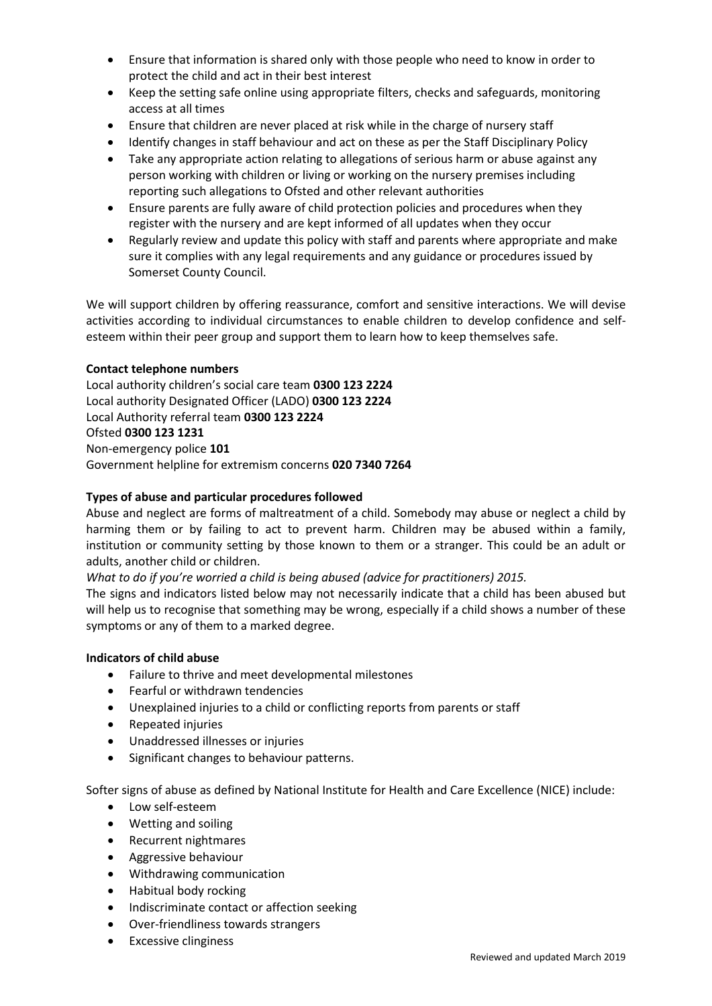- Ensure that information is shared only with those people who need to know in order to protect the child and act in their best interest
- Keep the setting safe online using appropriate filters, checks and safeguards, monitoring access at all times
- Ensure that children are never placed at risk while in the charge of nursery staff
- Identify changes in staff behaviour and act on these as per the Staff Disciplinary Policy
- Take any appropriate action relating to allegations of serious harm or abuse against any person working with children or living or working on the nursery premises including reporting such allegations to Ofsted and other relevant authorities
- Ensure parents are fully aware of child protection policies and procedures when they register with the nursery and are kept informed of all updates when they occur
- Regularly review and update this policy with staff and parents where appropriate and make sure it complies with any legal requirements and any guidance or procedures issued by Somerset County Council.

We will support children by offering reassurance, comfort and sensitive interactions. We will devise activities according to individual circumstances to enable children to develop confidence and selfesteem within their peer group and support them to learn how to keep themselves safe.

# **Contact telephone numbers**

Local authority children's social care team **0300 123 2224** Local authority Designated Officer (LADO) **0300 123 2224** Local Authority referral team **0300 123 2224** Ofsted **0300 123 1231** Non-emergency police **101**  Government helpline for extremism concerns **020 7340 7264**

# **Types of abuse and particular procedures followed**

Abuse and neglect are forms of maltreatment of a child. Somebody may abuse or neglect a child by harming them or by failing to act to prevent harm. Children may be abused within a family, institution or community setting by those known to them or a stranger. This could be an adult or adults, another child or children.

*What to do if you're worried a child is being abused (advice for practitioners) 2015.*

The signs and indicators listed below may not necessarily indicate that a child has been abused but will help us to recognise that something may be wrong, especially if a child shows a number of these symptoms or any of them to a marked degree.

# **Indicators of child abuse**

- Failure to thrive and meet developmental milestones
- Fearful or withdrawn tendencies
- Unexplained injuries to a child or conflicting reports from parents or staff
- Repeated injuries
- Unaddressed illnesses or injuries
- Significant changes to behaviour patterns.

Softer signs of abuse as defined by National Institute for Health and Care Excellence (NICE) include:

- Low self-esteem
- Wetting and soiling
- Recurrent nightmares
- Aggressive behaviour
- Withdrawing communication
- Habitual body rocking
- Indiscriminate contact or affection seeking
- Over-friendliness towards strangers
- Excessive clinginess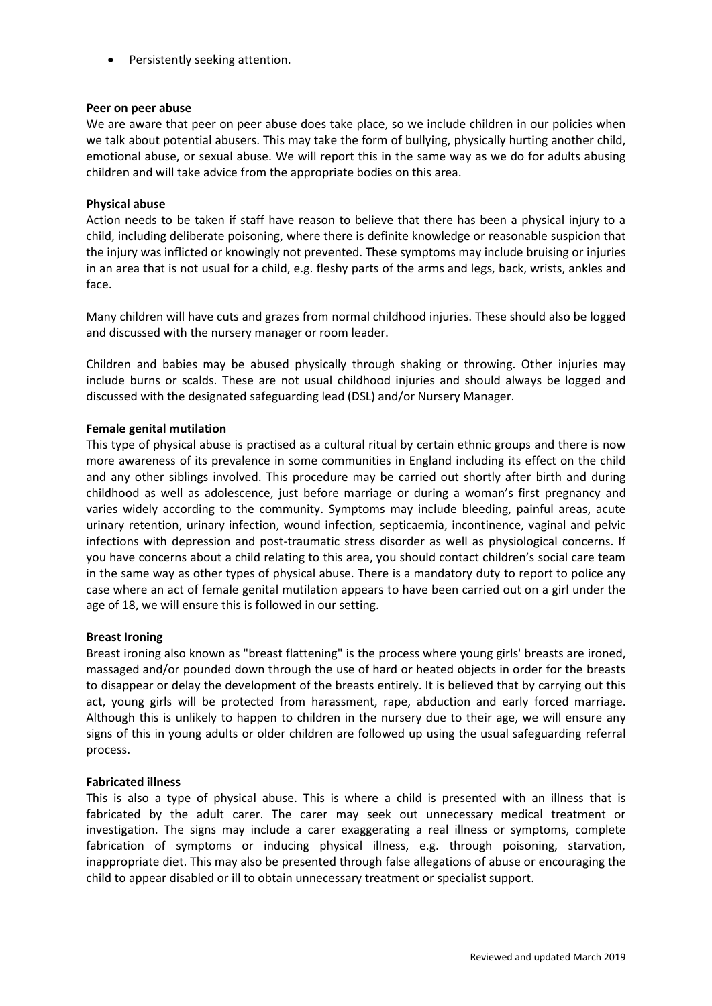• Persistently seeking attention.

#### **Peer on peer abuse**

We are aware that peer on peer abuse does take place, so we include children in our policies when we talk about potential abusers. This may take the form of bullying, physically hurting another child, emotional abuse, or sexual abuse. We will report this in the same way as we do for adults abusing children and will take advice from the appropriate bodies on this area.

#### **Physical abuse**

Action needs to be taken if staff have reason to believe that there has been a physical injury to a child, including deliberate poisoning, where there is definite knowledge or reasonable suspicion that the injury was inflicted or knowingly not prevented. These symptoms may include bruising or injuries in an area that is not usual for a child, e.g. fleshy parts of the arms and legs, back, wrists, ankles and face.

Many children will have cuts and grazes from normal childhood injuries. These should also be logged and discussed with the nursery manager or room leader.

Children and babies may be abused physically through shaking or throwing. Other injuries may include burns or scalds. These are not usual childhood injuries and should always be logged and discussed with the designated safeguarding lead (DSL) and/or Nursery Manager.

# **Female genital mutilation**

This type of physical abuse is practised as a cultural ritual by certain ethnic groups and there is now more awareness of its prevalence in some communities in England including its effect on the child and any other siblings involved. This procedure may be carried out shortly after birth and during childhood as well as adolescence, just before marriage or during a woman's first pregnancy and varies widely according to the community. Symptoms may include bleeding, painful areas, acute urinary retention, urinary infection, wound infection, septicaemia, incontinence, vaginal and pelvic infections with depression and post-traumatic stress disorder as well as physiological concerns. If you have concerns about a child relating to this area, you should contact children's social care team in the same way as other types of physical abuse. There is a mandatory duty to report to police any case where an act of female genital mutilation appears to have been carried out on a girl under the age of 18, we will ensure this is followed in our setting.

# **Breast Ironing**

Breast ironing also known as "breast flattening" is the process where young girls' breasts are ironed, massaged and/or pounded down through the use of hard or heated objects in order for the breasts to disappear or delay the development of the breasts entirely. It is believed that by carrying out this act, young girls will be protected from harassment, rape, abduction and early forced marriage. Although this is unlikely to happen to children in the nursery due to their age, we will ensure any signs of this in young adults or older children are followed up using the usual safeguarding referral process.

#### **Fabricated illness**

This is also a type of physical abuse. This is where a child is presented with an illness that is fabricated by the adult carer. The carer may seek out unnecessary medical treatment or investigation. The signs may include a carer exaggerating a real illness or symptoms, complete fabrication of symptoms or inducing physical illness, e.g. through poisoning, starvation, inappropriate diet. This may also be presented through false allegations of abuse or encouraging the child to appear disabled or ill to obtain unnecessary treatment or specialist support.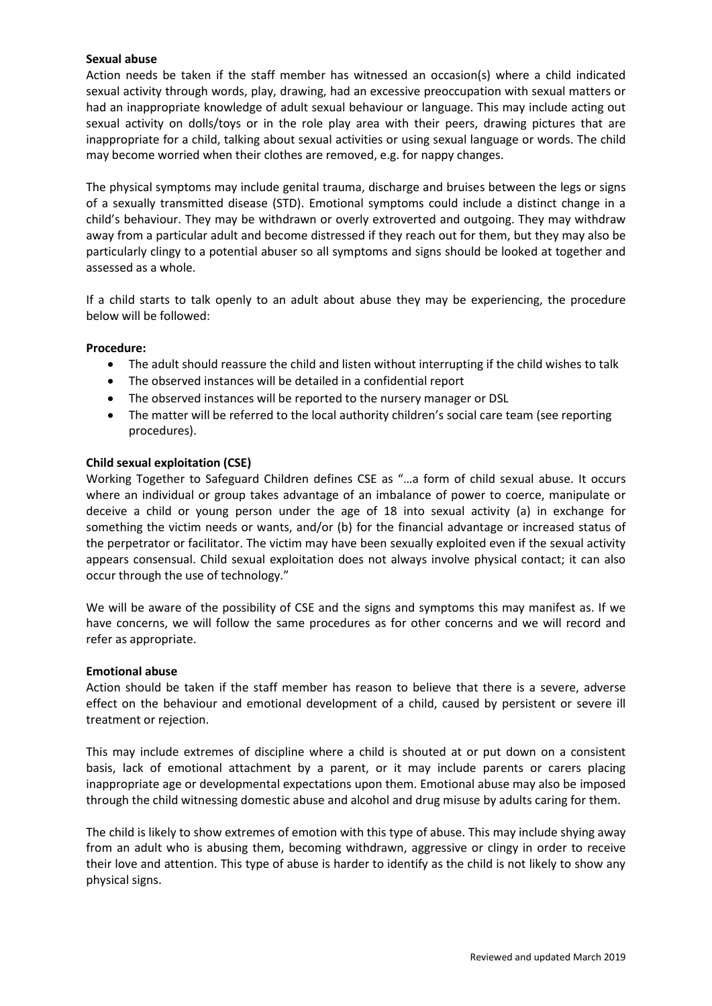# **Sexual abuse**

Action needs be taken if the staff member has witnessed an occasion(s) where a child indicated sexual activity through words, play, drawing, had an excessive preoccupation with sexual matters or had an inappropriate knowledge of adult sexual behaviour or language. This may include acting out sexual activity on dolls/toys or in the role play area with their peers, drawing pictures that are inappropriate for a child, talking about sexual activities or using sexual language or words. The child may become worried when their clothes are removed, e.g. for nappy changes.

The physical symptoms may include genital trauma, discharge and bruises between the legs or signs of a sexually transmitted disease (STD). Emotional symptoms could include a distinct change in a child's behaviour. They may be withdrawn or overly extroverted and outgoing. They may withdraw away from a particular adult and become distressed if they reach out for them, but they may also be particularly clingy to a potential abuser so all symptoms and signs should be looked at together and assessed as a whole.

If a child starts to talk openly to an adult about abuse they may be experiencing, the procedure below will be followed:

#### **Procedure:**

- The adult should reassure the child and listen without interrupting if the child wishes to talk
- The observed instances will be detailed in a confidential report
- The observed instances will be reported to the nursery manager or DSL
- The matter will be referred to the local authority children's social care team (see reporting procedures).

#### **Child sexual exploitation (CSE)**

Working Together to Safeguard Children defines CSE as "…a form of child sexual abuse. It occurs where an individual or group takes advantage of an imbalance of power to coerce, manipulate or deceive a child or young person under the age of 18 into sexual activity (a) in exchange for something the victim needs or wants, and/or (b) for the financial advantage or increased status of the perpetrator or facilitator. The victim may have been sexually exploited even if the sexual activity appears consensual. Child sexual exploitation does not always involve physical contact; it can also occur through the use of technology."

We will be aware of the possibility of CSE and the signs and symptoms this may manifest as. If we have concerns, we will follow the same procedures as for other concerns and we will record and refer as appropriate.

#### **Emotional abuse**

Action should be taken if the staff member has reason to believe that there is a severe, adverse effect on the behaviour and emotional development of a child, caused by persistent or severe ill treatment or rejection.

This may include extremes of discipline where a child is shouted at or put down on a consistent basis, lack of emotional attachment by a parent, or it may include parents or carers placing inappropriate age or developmental expectations upon them. Emotional abuse may also be imposed through the child witnessing domestic abuse and alcohol and drug misuse by adults caring for them.

The child is likely to show extremes of emotion with this type of abuse. This may include shying away from an adult who is abusing them, becoming withdrawn, aggressive or clingy in order to receive their love and attention. This type of abuse is harder to identify as the child is not likely to show any physical signs.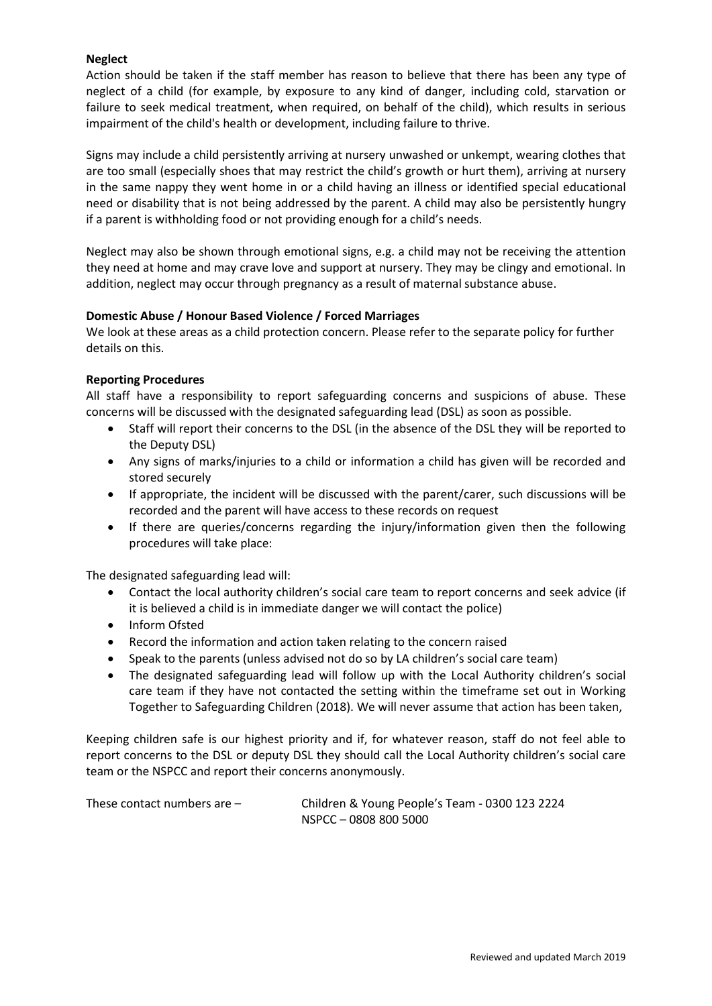# **Neglect**

Action should be taken if the staff member has reason to believe that there has been any type of neglect of a child (for example, by exposure to any kind of danger, including cold, starvation or failure to seek medical treatment, when required, on behalf of the child), which results in serious impairment of the child's health or development, including failure to thrive.

Signs may include a child persistently arriving at nursery unwashed or unkempt, wearing clothes that are too small (especially shoes that may restrict the child's growth or hurt them), arriving at nursery in the same nappy they went home in or a child having an illness or identified special educational need or disability that is not being addressed by the parent. A child may also be persistently hungry if a parent is withholding food or not providing enough for a child's needs.

Neglect may also be shown through emotional signs, e.g. a child may not be receiving the attention they need at home and may crave love and support at nursery. They may be clingy and emotional. In addition, neglect may occur through pregnancy as a result of maternal substance abuse.

# **Domestic Abuse / Honour Based Violence / Forced Marriages**

We look at these areas as a child protection concern. Please refer to the separate policy for further details on this.

# **Reporting Procedures**

All staff have a responsibility to report safeguarding concerns and suspicions of abuse. These concerns will be discussed with the designated safeguarding lead (DSL) as soon as possible.

- Staff will report their concerns to the DSL (in the absence of the DSL they will be reported to the Deputy DSL)
- Any signs of marks/injuries to a child or information a child has given will be recorded and stored securely
- If appropriate, the incident will be discussed with the parent/carer, such discussions will be recorded and the parent will have access to these records on request
- If there are queries/concerns regarding the injury/information given then the following procedures will take place:

The designated safeguarding lead will:

- Contact the local authority children's social care team to report concerns and seek advice (if it is believed a child is in immediate danger we will contact the police)
- Inform Ofsted
- Record the information and action taken relating to the concern raised
- Speak to the parents (unless advised not do so by LA children's social care team)
- The designated safeguarding lead will follow up with the Local Authority children's social care team if they have not contacted the setting within the timeframe set out in Working Together to Safeguarding Children (2018). We will never assume that action has been taken,

Keeping children safe is our highest priority and if, for whatever reason, staff do not feel able to report concerns to the DSL or deputy DSL they should call the Local Authority children's social care team or the NSPCC and report their concerns anonymously.

| These contact numbers are $-$ | Children & Young People's Team - 0300 123 2224 |
|-------------------------------|------------------------------------------------|
|                               | NSPCC-0808 800 5000                            |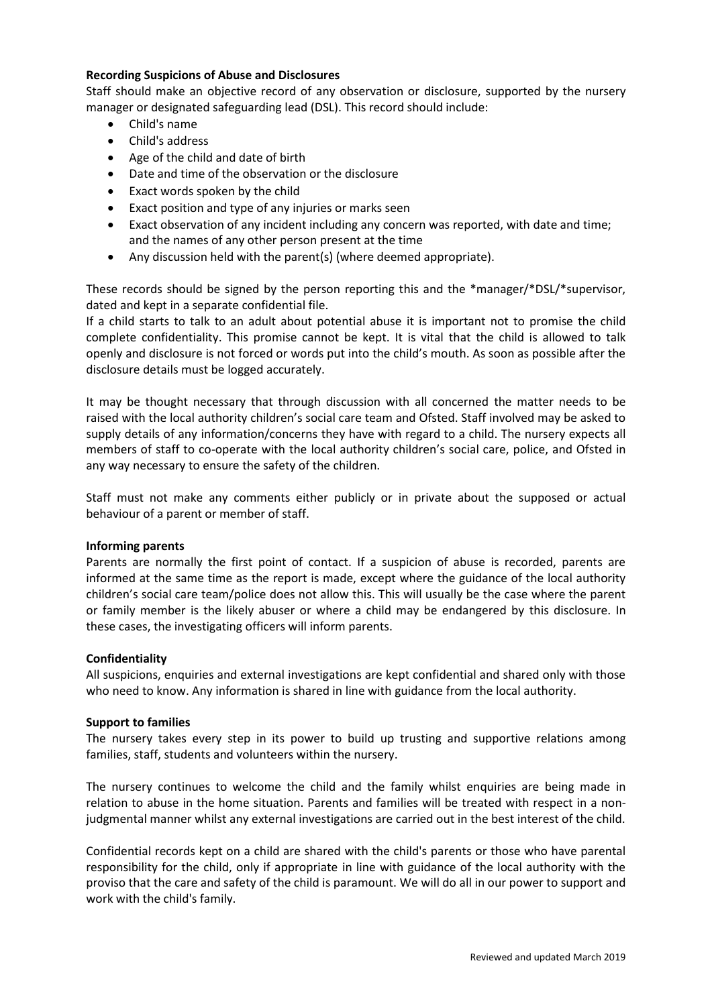# **Recording Suspicions of Abuse and Disclosures**

Staff should make an objective record of any observation or disclosure, supported by the nursery manager or designated safeguarding lead (DSL). This record should include:

- Child's name
- Child's address
- Age of the child and date of birth
- Date and time of the observation or the disclosure
- Exact words spoken by the child
- Exact position and type of any injuries or marks seen
- Exact observation of any incident including any concern was reported, with date and time; and the names of any other person present at the time
- Any discussion held with the parent(s) (where deemed appropriate).

These records should be signed by the person reporting this and the \*manager/\*DSL/\*supervisor, dated and kept in a separate confidential file.

If a child starts to talk to an adult about potential abuse it is important not to promise the child complete confidentiality. This promise cannot be kept. It is vital that the child is allowed to talk openly and disclosure is not forced or words put into the child's mouth. As soon as possible after the disclosure details must be logged accurately.

It may be thought necessary that through discussion with all concerned the matter needs to be raised with the local authority children's social care team and Ofsted. Staff involved may be asked to supply details of any information/concerns they have with regard to a child. The nursery expects all members of staff to co-operate with the local authority children's social care, police, and Ofsted in any way necessary to ensure the safety of the children.

Staff must not make any comments either publicly or in private about the supposed or actual behaviour of a parent or member of staff.

# **Informing parents**

Parents are normally the first point of contact. If a suspicion of abuse is recorded, parents are informed at the same time as the report is made, except where the guidance of the local authority children's social care team/police does not allow this. This will usually be the case where the parent or family member is the likely abuser or where a child may be endangered by this disclosure. In these cases, the investigating officers will inform parents.

# **Confidentiality**

All suspicions, enquiries and external investigations are kept confidential and shared only with those who need to know. Any information is shared in line with guidance from the local authority.

# **Support to families**

The nursery takes every step in its power to build up trusting and supportive relations among families, staff, students and volunteers within the nursery.

The nursery continues to welcome the child and the family whilst enquiries are being made in relation to abuse in the home situation. Parents and families will be treated with respect in a nonjudgmental manner whilst any external investigations are carried out in the best interest of the child.

Confidential records kept on a child are shared with the child's parents or those who have parental responsibility for the child, only if appropriate in line with guidance of the local authority with the proviso that the care and safety of the child is paramount. We will do all in our power to support and work with the child's family.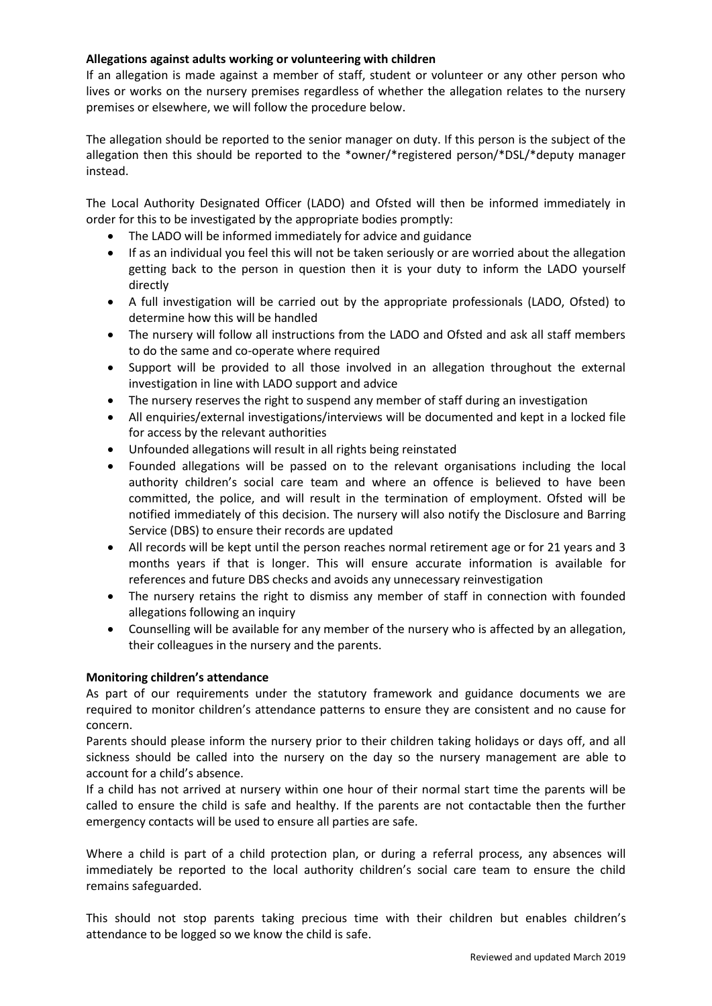# **Allegations against adults working or volunteering with children**

If an allegation is made against a member of staff, student or volunteer or any other person who lives or works on the nursery premises regardless of whether the allegation relates to the nursery premises or elsewhere, we will follow the procedure below.

The allegation should be reported to the senior manager on duty. If this person is the subject of the allegation then this should be reported to the \*owner/\*registered person/\*DSL/\*deputy manager instead.

The Local Authority Designated Officer (LADO) and Ofsted will then be informed immediately in order for this to be investigated by the appropriate bodies promptly:

- The LADO will be informed immediately for advice and guidance
- If as an individual you feel this will not be taken seriously or are worried about the allegation getting back to the person in question then it is your duty to inform the LADO yourself directly
- A full investigation will be carried out by the appropriate professionals (LADO, Ofsted) to determine how this will be handled
- The nursery will follow all instructions from the LADO and Ofsted and ask all staff members to do the same and co-operate where required
- Support will be provided to all those involved in an allegation throughout the external investigation in line with LADO support and advice
- The nursery reserves the right to suspend any member of staff during an investigation
- All enquiries/external investigations/interviews will be documented and kept in a locked file for access by the relevant authorities
- Unfounded allegations will result in all rights being reinstated
- Founded allegations will be passed on to the relevant organisations including the local authority children's social care team and where an offence is believed to have been committed, the police, and will result in the termination of employment. Ofsted will be notified immediately of this decision. The nursery will also notify the Disclosure and Barring Service (DBS) to ensure their records are updated
- All records will be kept until the person reaches normal retirement age or for 21 years and 3 months years if that is longer. This will ensure accurate information is available for references and future DBS checks and avoids any unnecessary reinvestigation
- The nursery retains the right to dismiss any member of staff in connection with founded allegations following an inquiry
- Counselling will be available for any member of the nursery who is affected by an allegation, their colleagues in the nursery and the parents.

# **Monitoring children's attendance**

As part of our requirements under the statutory framework and guidance documents we are required to monitor children's attendance patterns to ensure they are consistent and no cause for concern.

Parents should please inform the nursery prior to their children taking holidays or days off, and all sickness should be called into the nursery on the day so the nursery management are able to account for a child's absence.

If a child has not arrived at nursery within one hour of their normal start time the parents will be called to ensure the child is safe and healthy. If the parents are not contactable then the further emergency contacts will be used to ensure all parties are safe.

Where a child is part of a child protection plan, or during a referral process, any absences will immediately be reported to the local authority children's social care team to ensure the child remains safeguarded.

This should not stop parents taking precious time with their children but enables children's attendance to be logged so we know the child is safe.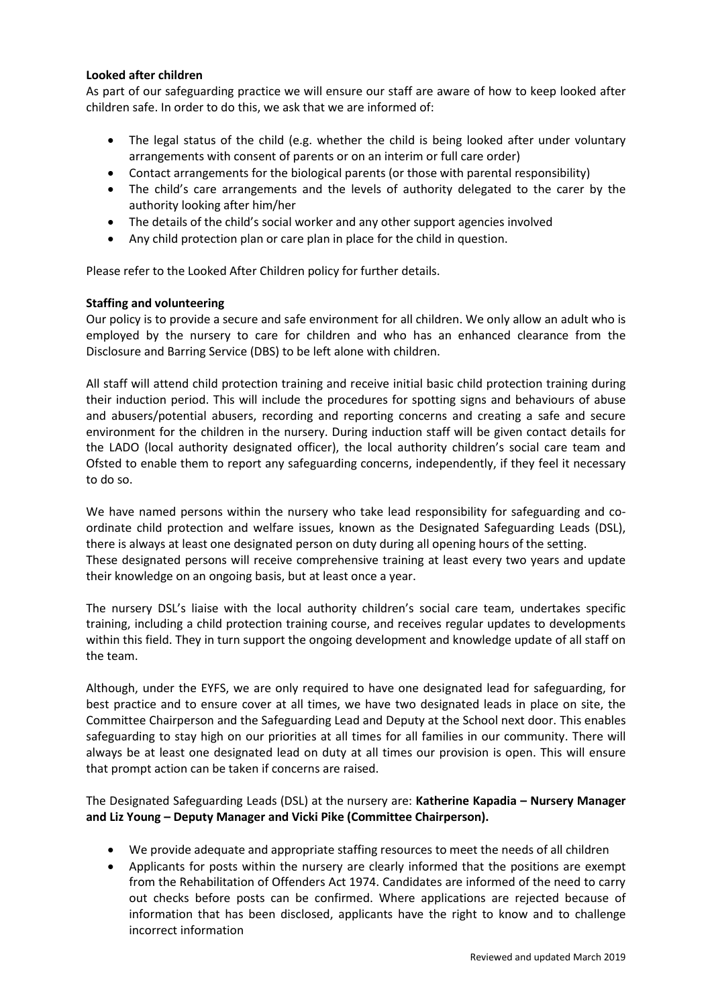# **Looked after children**

As part of our safeguarding practice we will ensure our staff are aware of how to keep looked after children safe. In order to do this, we ask that we are informed of:

- The legal status of the child (e.g. whether the child is being looked after under voluntary arrangements with consent of parents or on an interim or full care order)
- Contact arrangements for the biological parents (or those with parental responsibility)
- The child's care arrangements and the levels of authority delegated to the carer by the authority looking after him/her
- The details of the child's social worker and any other support agencies involved
- Any child protection plan or care plan in place for the child in question.

Please refer to the Looked After Children policy for further details.

# **Staffing and volunteering**

Our policy is to provide a secure and safe environment for all children. We only allow an adult who is employed by the nursery to care for children and who has an enhanced clearance from the Disclosure and Barring Service (DBS) to be left alone with children.

All staff will attend child protection training and receive initial basic child protection training during their induction period. This will include the procedures for spotting signs and behaviours of abuse and abusers/potential abusers, recording and reporting concerns and creating a safe and secure environment for the children in the nursery. During induction staff will be given contact details for the LADO (local authority designated officer), the local authority children's social care team and Ofsted to enable them to report any safeguarding concerns, independently, if they feel it necessary to do so.

We have named persons within the nursery who take lead responsibility for safeguarding and coordinate child protection and welfare issues, known as the Designated Safeguarding Leads (DSL), there is always at least one designated person on duty during all opening hours of the setting. These designated persons will receive comprehensive training at least every two years and update their knowledge on an ongoing basis, but at least once a year.

The nursery DSL's liaise with the local authority children's social care team, undertakes specific training, including a child protection training course, and receives regular updates to developments within this field. They in turn support the ongoing development and knowledge update of all staff on the team.

Although, under the EYFS, we are only required to have one designated lead for safeguarding, for best practice and to ensure cover at all times, we have two designated leads in place on site, the Committee Chairperson and the Safeguarding Lead and Deputy at the School next door. This enables safeguarding to stay high on our priorities at all times for all families in our community. There will always be at least one designated lead on duty at all times our provision is open. This will ensure that prompt action can be taken if concerns are raised.

The Designated Safeguarding Leads (DSL) at the nursery are: **Katherine Kapadia – Nursery Manager and Liz Young – Deputy Manager and Vicki Pike (Committee Chairperson).**

- We provide adequate and appropriate staffing resources to meet the needs of all children
- Applicants for posts within the nursery are clearly informed that the positions are exempt from the Rehabilitation of Offenders Act 1974. Candidates are informed of the need to carry out checks before posts can be confirmed. Where applications are rejected because of information that has been disclosed, applicants have the right to know and to challenge incorrect information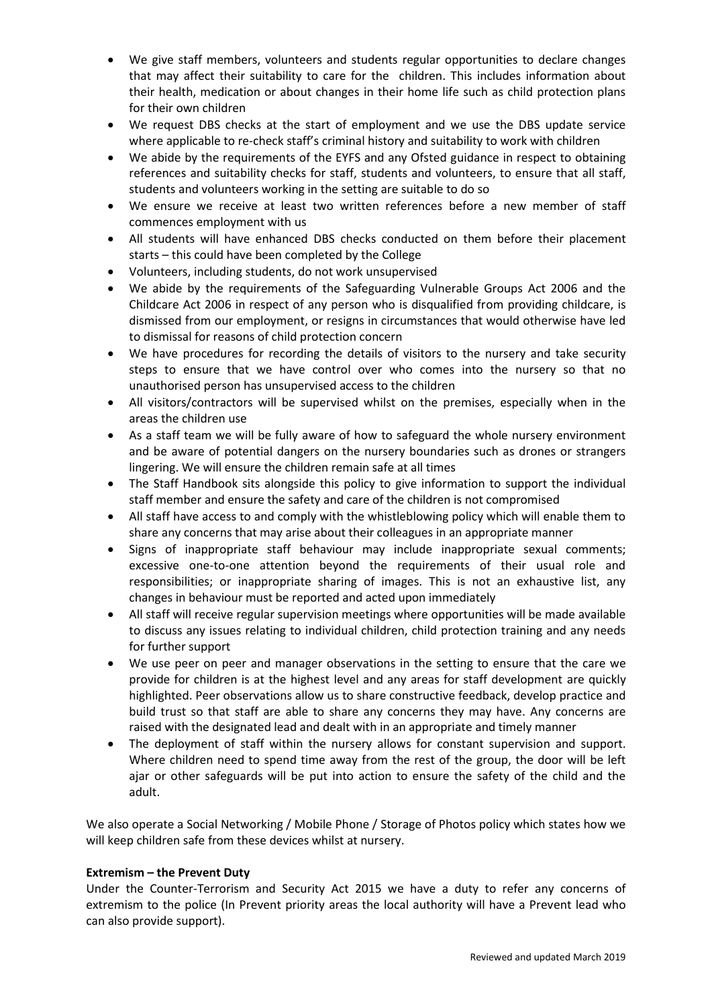- We give staff members, volunteers and students regular opportunities to declare changes that may affect their suitability to care for the children. This includes information about their health, medication or about changes in their home life such as child protection plans for their own children
- We request DBS checks at the start of employment and we use the DBS update service where applicable to re-check staff's criminal history and suitability to work with children
- We abide by the requirements of the EYFS and any Ofsted guidance in respect to obtaining references and suitability checks for staff, students and volunteers, to ensure that all staff, students and volunteers working in the setting are suitable to do so
- We ensure we receive at least two written references before a new member of staff commences employment with us
- All students will have enhanced DBS checks conducted on them before their placement starts – this could have been completed by the College
- Volunteers, including students, do not work unsupervised
- We abide by the requirements of the Safeguarding Vulnerable Groups Act 2006 and the Childcare Act 2006 in respect of any person who is disqualified from providing childcare, is dismissed from our employment, or resigns in circumstances that would otherwise have led to dismissal for reasons of child protection concern
- We have procedures for recording the details of visitors to the nursery and take security steps to ensure that we have control over who comes into the nursery so that no unauthorised person has unsupervised access to the children
- All visitors/contractors will be supervised whilst on the premises, especially when in the areas the children use
- As a staff team we will be fully aware of how to safeguard the whole nursery environment and be aware of potential dangers on the nursery boundaries such as drones or strangers lingering. We will ensure the children remain safe at all times
- The Staff Handbook sits alongside this policy to give information to support the individual staff member and ensure the safety and care of the children is not compromised
- All staff have access to and comply with the whistleblowing policy which will enable them to share any concerns that may arise about their colleagues in an appropriate manner
- Signs of inappropriate staff behaviour may include inappropriate sexual comments; excessive one-to-one attention beyond the requirements of their usual role and responsibilities; or inappropriate sharing of images. This is not an exhaustive list, any changes in behaviour must be reported and acted upon immediately
- All staff will receive regular supervision meetings where opportunities will be made available to discuss any issues relating to individual children, child protection training and any needs for further support
- We use peer on peer and manager observations in the setting to ensure that the care we provide for children is at the highest level and any areas for staff development are quickly highlighted. Peer observations allow us to share constructive feedback, develop practice and build trust so that staff are able to share any concerns they may have. Any concerns are raised with the designated lead and dealt with in an appropriate and timely manner
- The deployment of staff within the nursery allows for constant supervision and support. Where children need to spend time away from the rest of the group, the door will be left ajar or other safeguards will be put into action to ensure the safety of the child and the adult.

We also operate a Social Networking / Mobile Phone / Storage of Photos policy which states how we will keep children safe from these devices whilst at nursery.

# **Extremism – the Prevent Duty**

Under the Counter-Terrorism and Security Act 2015 we have a duty to refer any concerns of extremism to the police (In Prevent priority areas the local authority will have a Prevent lead who can also provide support).